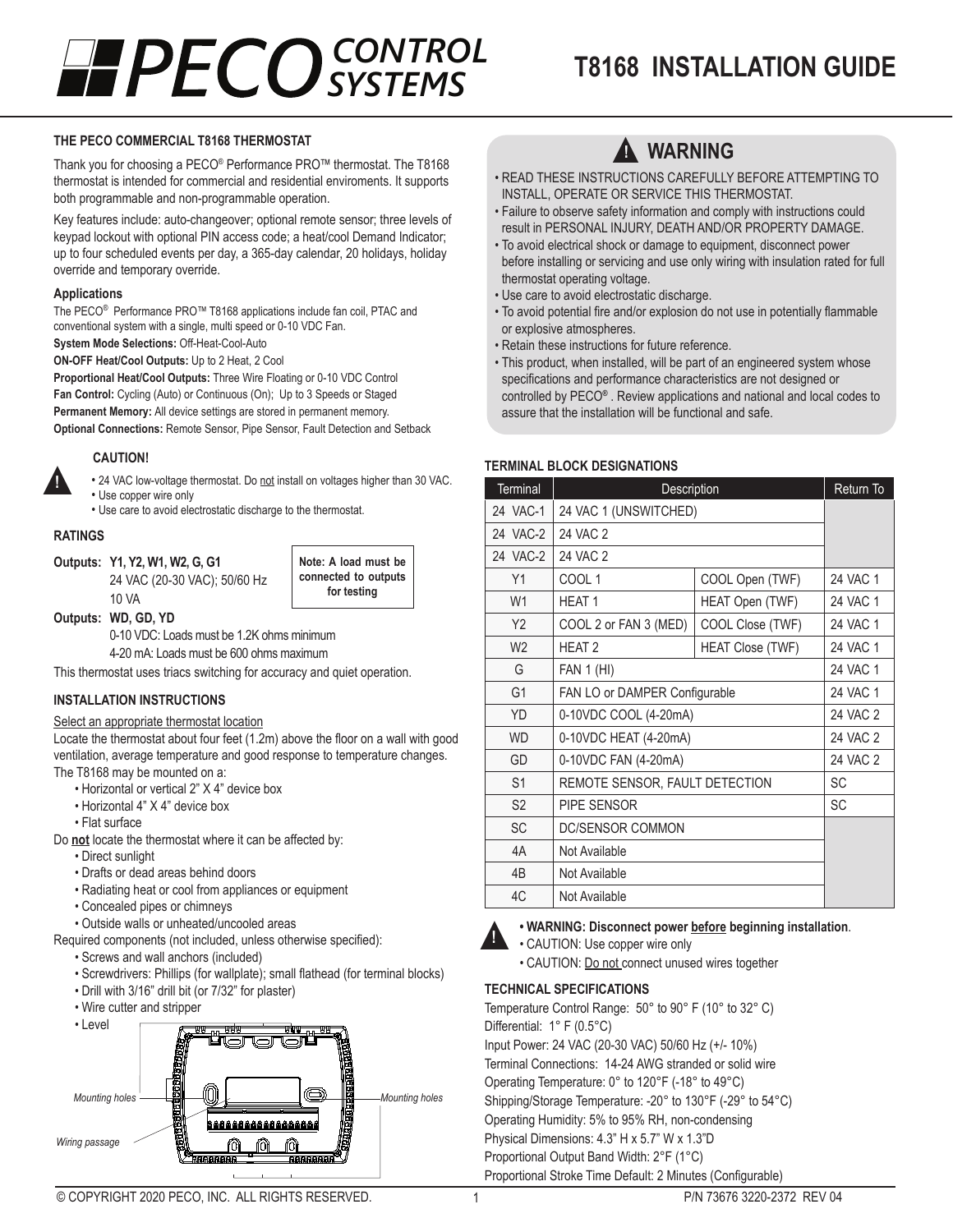# *SYSTEMS*

## **T8168 INSTALLATION GUIDE** *CONTROL*

#### **THE PECO COMMERCIAL T8168 THERMOSTAT**

Thank you for choosing a PECO® Performance PRO™ thermostat. The T8168 thermostat is intended for commercial and residential enviroments. It supports both programmable and non-programmable operation.

Key features include: auto-changeover; optional remote sensor; three levels of keypad lockout with optional PIN access code; a heat/cool Demand Indicator; up to four scheduled events per day, a 365-day calendar, 20 holidays, holiday override and temporary override.

#### **Applications**

The PECO® Performance PRO™ T8168 applications include fan coil, PTAC and conventional system with a single, multi speed or 0-10 VDC Fan.

**System Mode Selections:** Off-Heat-Cool-Auto

**ON-OFF Heat/Cool Outputs:** Up to 2 Heat, 2 Cool

**Proportional Heat/Cool Outputs:** Three Wire Floating or 0-10 VDC Control **Fan Control:** Cycling (Auto) or Continuous (On); Up to 3 Speeds or Staged **Permanent Memory:** All device settings are stored in permanent memory. **Optional Connections:** Remote Sensor, Pipe Sensor, Fault Detection and Setback

#### **CAUTION!**

- 24 VAC low-voltage thermostat. Do not install on voltages higher than 30 VAC.
- Use copper wire only • Use care to avoid electrostatic discharge to the thermostat.

#### **RATINGS**

▲**!**

**Outputs: Y1, Y2, W1, W2, G, G1** 24 VAC (20-30 VAC); 50/60 Hz 10 VA

**Note: A load must be connected to outputs for testing**

**Outputs: WD, GD, YD**

0-10 VDC: Loads must be 1.2K ohms minimum

4-20 mA: Loads must be 600 ohms maximum

This thermostat uses triacs switching for accuracy and quiet operation.

#### **INSTALLATION INSTRUCTIONS**

#### Select an appropriate thermostat location

Locate the thermostat about four feet (1.2m) above the floor on a wall with good ventilation, average temperature and good response to temperature changes. The T8168 may be mounted on a:

- Horizontal or vertical 2" X 4" device box
- Horizontal 4" X 4" device box
- Flat surface

Do **not** locate the thermostat where it can be affected by:

- Direct sunlight
- Drafts or dead areas behind doors
- Radiating heat or cool from appliances or equipment
- Concealed pipes or chimneys
- Outside walls or unheated/uncooled areas

Required components (not included, unless otherwise specified):

- Screws and wall anchors (included)
- Screwdrivers: Phillips (for wallplate); small flathead (for terminal blocks)
- Drill with 3/16" drill bit (or 7/32" for plaster)
- Wire cutter and stripper





- READ THESE INSTRUCTIONS CAREFULLY BEFORE ATTEMPTING TO INSTALL, OPERATE OR SERVICE THIS THERMOSTAT.
- Failure to observe safety information and comply with instructions could result in PERSONAL INJURY, DEATH AND/OR PROPERTY DAMAGE.
- To avoid electrical shock or damage to equipment, disconnect power before installing or servicing and use only wiring with insulation rated for full thermostat operating voltage.
- Use care to avoid electrostatic discharge.
- To avoid potential fire and/or explosion do not use in potentially flammable or explosive atmospheres.
- Retain these instructions for future reference.
- This product, when installed, will be part of an engineered system whose specifications and performance characteristics are not designed or controlled by PECO**®** . Review applications and national and local codes to assure that the installation will be functional and safe.

#### **TERMINAL BLOCK DESIGNATIONS**

| <b>Terminal</b> | Description                    | Return To               |          |
|-----------------|--------------------------------|-------------------------|----------|
| 24 VAC-1        | 24 VAC 1 (UNSWITCHED)          |                         |          |
| 24 VAC-2        | 24 VAC 2                       |                         |          |
| 24 VAC-2        | 24 VAC 2                       |                         |          |
| Y1              | COOL <sub>1</sub>              | COOL Open (TWF)         | 24 VAC 1 |
| W <sub>1</sub>  | <b>HEAT1</b>                   | HEAT Open (TWF)         | 24 VAC 1 |
| Y <sub>2</sub>  | COOL 2 or FAN 3 (MED)          | COOL Close (TWF)        | 24 VAC 1 |
| W <sub>2</sub>  | <b>HEAT 2</b>                  | <b>HEAT Close (TWF)</b> | 24 VAC 1 |
| G               | <b>FAN 1 (HI)</b>              | 24 VAC 1                |          |
| G <sub>1</sub>  | FAN LO or DAMPER Configurable  | 24 VAC 1                |          |
| YD              | 0-10VDC COOL (4-20mA)          | 24 VAC 2                |          |
| <b>WD</b>       | 0-10VDC HEAT (4-20mA)          | 24 VAC 2                |          |
| GD              | 0-10VDC FAN (4-20mA)           | 24 VAC 2                |          |
| S <sub>1</sub>  | REMOTE SENSOR, FAULT DETECTION | <b>SC</b>               |          |
| S <sub>2</sub>  | PIPF SENSOR                    | <b>SC</b>               |          |
| <b>SC</b>       | DC/SENSOR COMMON               |                         |          |
| 4A              | Not Available                  |                         |          |
| 4 <sub>B</sub>  | Not Available                  |                         |          |
| 4C              | Not Available                  |                         |          |



#### **• WARNING: Disconnect power before beginning installation**.

• CAUTION: Use copper wire only • CAUTION: Do not connect unused wires together

#### **TECHNICAL SPECIFICATIONS**

Temperature Control Range: 50° to 90° F (10° to 32° C) Differential: 1° F (0.5°C) Input Power: 24 VAC (20-30 VAC) 50/60 Hz (+/- 10%) Terminal Connections: 14-24 AWG stranded or solid wire Operating Temperature: 0° to 120°F (-18° to 49°C) Shipping/Storage Temperature: -20° to 130°F (-29° to 54°C) Operating Humidity: 5% to 95% RH, non-condensing Physical Dimensions: 4.3" H x 5.7" W x 1.3"D Proportional Output Band Width: 2°F (1°C) Proportional Stroke Time Default: 2 Minutes (Configurable)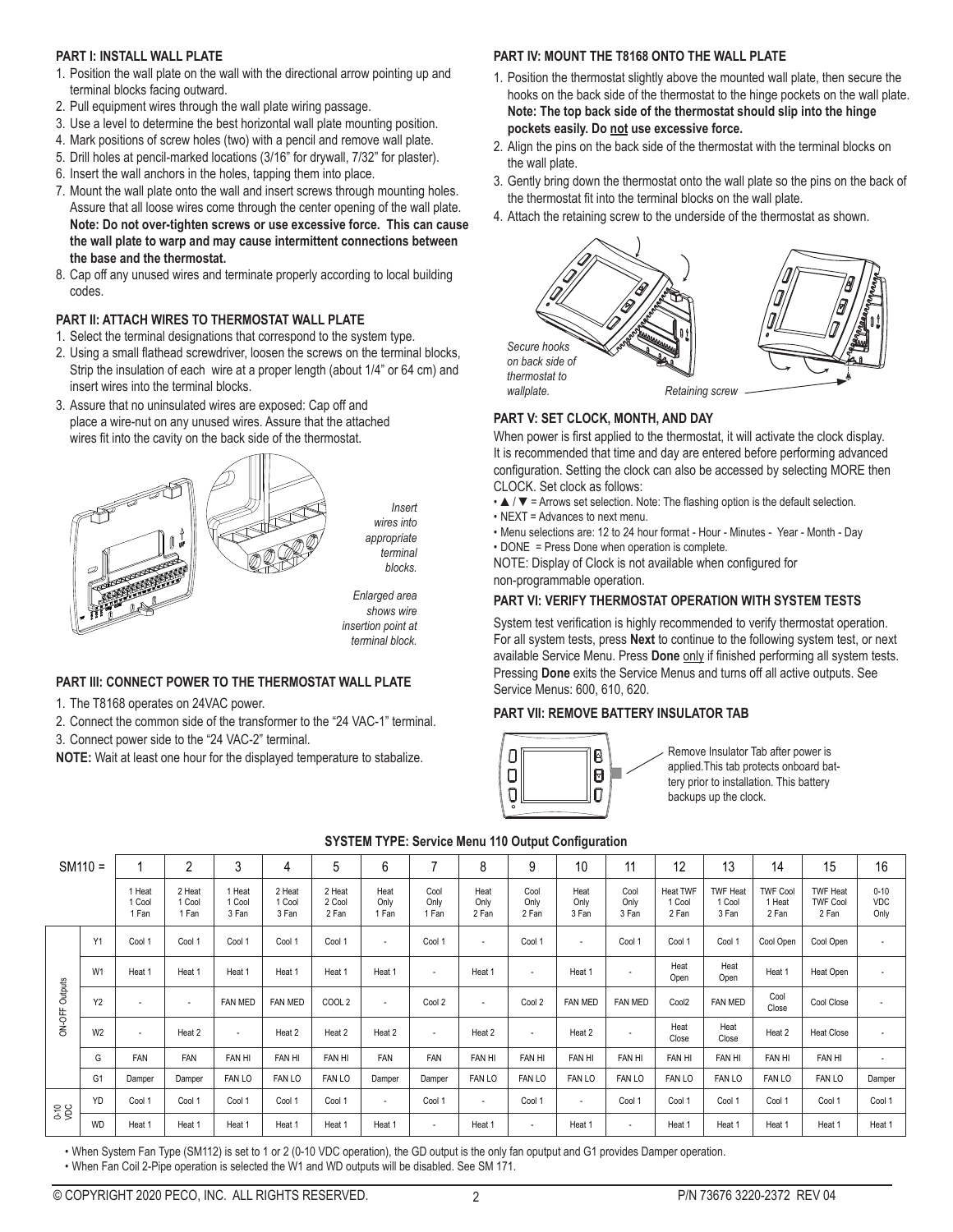#### **PART I: INSTALL WALL PLATE**

- 1. Position the wall plate on the wall with the directional arrow pointing up and terminal blocks facing outward.
- 2. Pull equipment wires through the wall plate wiring passage.
- 3. Use a level to determine the best horizontal wall plate mounting position.
- 4. Mark positions of screw holes (two) with a pencil and remove wall plate.
- 5. Drill holes at pencil-marked locations (3/16" for drywall, 7/32" for plaster).
- 6. Insert the wall anchors in the holes, tapping them into place.
- 7. Mount the wall plate onto the wall and insert screws through mounting holes. Assure that all loose wires come through the center opening of the wall plate. **Note: Do not over-tighten screws or use excessive force. This can cause the wall plate to warp and may cause intermittent connections between the base and the thermostat.**
- 8. Cap off any unused wires and terminate properly according to local building codes.

#### **PART II: ATTACH WIRES TO THERMOSTAT WALL PLATE**

- 1. Select the terminal designations that correspond to the system type.
- 2. Using a small flathead screwdriver, loosen the screws on the terminal blocks, Strip the insulation of each wire at a proper length (about 1/4" or 64 cm) and insert wires into the terminal blocks.
- 3. Assure that no uninsulated wires are exposed: Cap off and place a wire-nut on any unused wires. Assure that the attached wires fit into the cavity on the back side of the thermostat.



#### **PART III: CONNECT POWER TO THE THERMOSTAT WALL PLATE**

- 1. The T8168 operates on 24VAC power.
- 2. Connect the common side of the transformer to the "24 VAC-1" terminal.

3. Connect power side to the "24 VAC-2" terminal.

**NOTE:** Wait at least one hour for the displayed temperature to stabalize.

#### **PART IV: MOUNT THE T8168 ONTO THE WALL PLATE**

- 1. Position the thermostat slightly above the mounted wall plate, then secure the hooks on the back side of the thermostat to the hinge pockets on the wall plate. **Note: The top back side of the thermostat should slip into the hinge pockets easily. Do not use excessive force.**
- 2. Align the pins on the back side of the thermostat with the terminal blocks on the wall plate.
- 3. Gently bring down the thermostat onto the wall plate so the pins on the back of the thermostat fit into the terminal blocks on the wall plate.
- 4. Attach the retaining screw to the underside of the thermostat as shown.



#### **PART V: SET CLOCK, MONTH, AND DAY**

When power is first applied to the thermostat, it will activate the clock display. It is recommended that time and day are entered before performing advanced configuration. Setting the clock can also be accessed by selecting MORE then CLOCK. Set clock as follows:

- ▲ / ▼ = Arrows set selection. Note: The flashing option is the default selection.
- NEXT = Advances to next menu.
- Menu selections are: 12 to 24 hour format Hour Minutes Year Month Day
- DONE = Press Done when operation is complete.

NOTE: Display of Clock is not available when configured for non-programmable operation.

#### **PART VI: VERIFY THERMOSTAT OPERATION WITH SYSTEM TESTS**

System test verification is highly recommended to verify thermostat operation. For all system tests, press **Next** to continue to the following system test, or next available Service Menu. Press **Done** only if finished performing all system tests. Pressing **Done** exits the Service Menus and turns off all active outputs. See Service Menus: 600, 610, 620.

#### **PART VII: REMOVE BATTERY INSULATOR TAB**



Remove Insulator Tab after power is applied.This tab protects onboard battery prior to installation. This battery backups up the clock.

|                          | $SM110 =$      |                           | $\overline{2}$            | 3                         | 4                         | 5                         | 6                        | 7                        | 8                        | 9                     | 10                    | 11                    | 12                          | 13                                 | 14                                 | 15                                          | 16                      |
|--------------------------|----------------|---------------------------|---------------------------|---------------------------|---------------------------|---------------------------|--------------------------|--------------------------|--------------------------|-----------------------|-----------------------|-----------------------|-----------------------------|------------------------------------|------------------------------------|---------------------------------------------|-------------------------|
|                          |                | 1 Heat<br>1 Cool<br>1 Fan | 2 Heat<br>1 Cool<br>1 Fan | 1 Heat<br>1 Cool<br>3 Fan | 2 Heat<br>1 Cool<br>3 Fan | 2 Heat<br>2 Cool<br>2 Fan | Heat<br>Only<br>1 Fan    | Cool<br>Only<br>1 Fan    | Heat<br>Only<br>2 Fan    | Cool<br>Only<br>2 Fan | Heat<br>Only<br>3 Fan | Cool<br>Only<br>3 Fan | Heat TWF<br>1 Cool<br>2 Fan | <b>TWF Heat</b><br>1 Cool<br>3 Fan | <b>TWF Cool</b><br>1 Heat<br>2 Fan | <b>TWF Heat</b><br><b>TWF Cool</b><br>2 Fan | $0 - 10$<br>VDC<br>Only |
|                          | Y1             | Cool 1                    | Cool 1                    | Cool 1                    | Cool 1                    | Cool 1                    | $\overline{\phantom{a}}$ | Cool 1                   | ٠                        | Cool 1                | ٠                     | Cool 1                | Cool 1                      | Cool 1                             | Cool Open                          | Cool Open                                   | $\sim$                  |
| ON-OFF Outputs           | W <sub>1</sub> | Heat 1                    | Heat 1                    | Heat 1                    | Heat 1                    | Heat 1                    | Heat 1                   | ٠                        | Heat 1                   | ٠                     | Heat 1                | ٠                     | Heat<br>Open                | Heat<br>Open                       | Heat 1                             | Heat Open                                   | $\sim$                  |
|                          | Y <sub>2</sub> | $\overline{\phantom{a}}$  | $\overline{\phantom{a}}$  | <b>FAN MED</b>            | FAN MED                   | COOL <sub>2</sub>         | ٠                        | Cool 2                   | $\overline{\phantom{a}}$ | Cool 2                | <b>FAN MED</b>        | FAN MED               | Cool <sub>2</sub>           | FAN MED                            | Cool<br>Close                      | Cool Close                                  | $\sim$                  |
|                          | W <sub>2</sub> | ٠                         | Heat 2                    | $\overline{\phantom{a}}$  | Heat 2                    | Heat 2                    | Heat 2                   | $\overline{\phantom{a}}$ | Heat 2                   | ٠                     | Heat 2                | ٠                     | Heat<br>Close               | Heat<br>Close                      | Heat 2                             | <b>Heat Close</b>                           | $\overline{a}$          |
|                          | G              | <b>FAN</b>                | FAN                       | FAN HI                    | FAN HI                    | FAN HI                    | FAN                      | FAN                      | FAN HI                   | FAN HI                | FAN HI                | <b>FAN HI</b>         | FAN HI                      | FAN HI                             | FAN HI                             | FAN HI                                      | $\sim$                  |
|                          | G1             | Damper                    | Damper                    | FAN LO                    | <b>FAN LO</b>             | <b>FAN LO</b>             | Damper                   | Damper                   | FAN LO                   | FAN LO                | FAN LO                | <b>FAN LO</b>         | FAN LO                      | FAN LO                             | <b>FAN LO</b>                      | FAN LO                                      | Damper                  |
| YD<br><b>0-10</b><br>VDC |                | Cool 1                    | Cool 1                    | Cool 1                    | Cool 1                    | Cool 1                    | $\overline{\phantom{a}}$ | Cool 1                   | $\overline{\phantom{a}}$ | Cool 1                | $\sim$                | Cool 1                | Cool 1                      | Cool 1                             | Cool 1                             | Cool 1                                      | Cool 1                  |
|                          | <b>WD</b>      | Heat 1                    | Heat 1                    | Heat 1                    | Heat 1                    | Heat 1                    | Heat 1                   | ٠                        | Heat 1                   | ٠                     | Heat 1                | ٠                     | Heat 1                      | Heat 1                             | Heat 1                             | Heat 1                                      | Heat 1                  |

#### **SYSTEM TYPE: Service Menu 110 Output Configuration**

• When System Fan Type (SM112) is set to 1 or 2 (0-10 VDC operation), the GD output is the only fan oputput and G1 provides Damper operation.

• When Fan Coil 2-Pipe operation is selected the W1 and WD outputs will be disabled. See SM 171.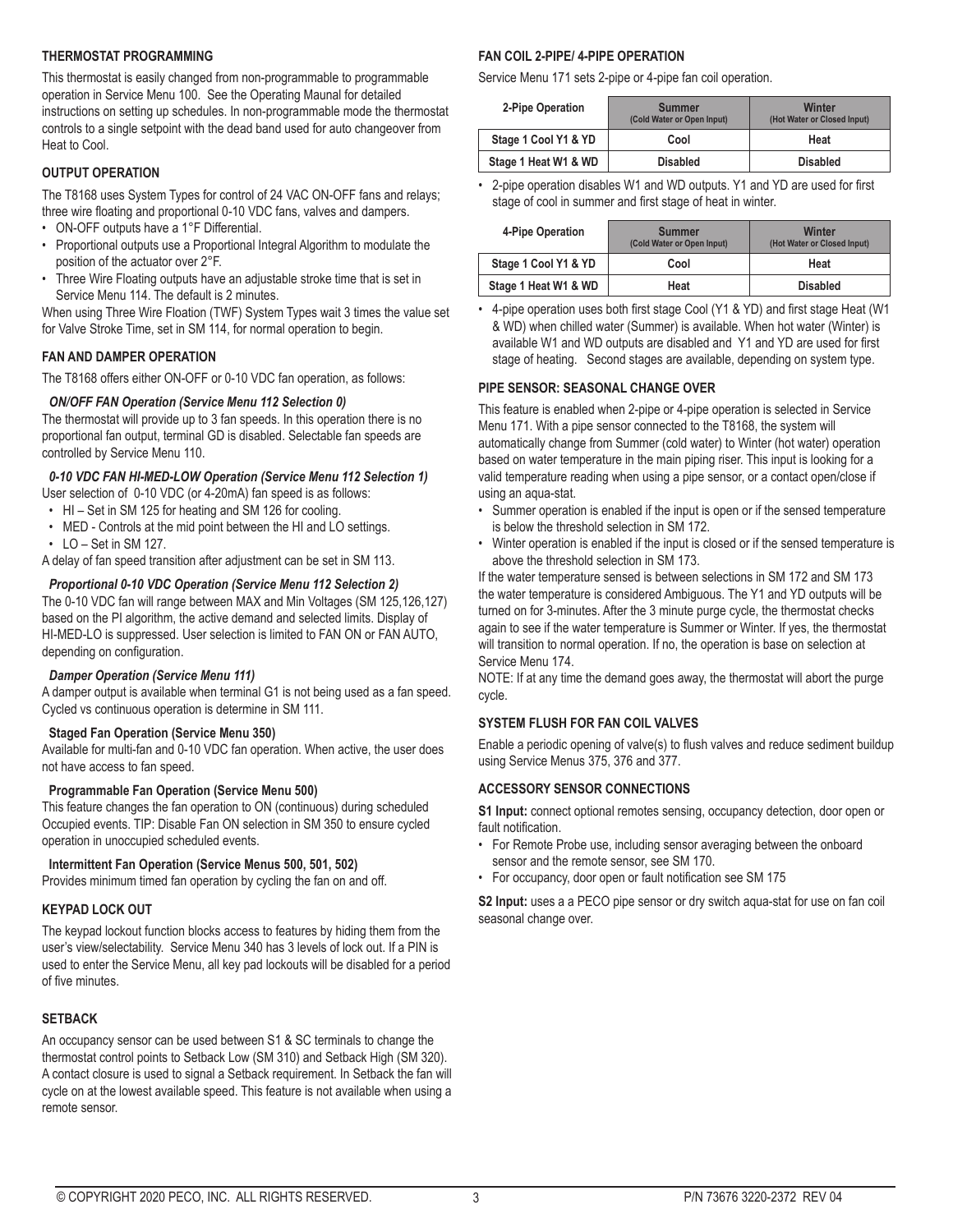#### **THERMOSTAT PROGRAMMING**

This thermostat is easily changed from non-programmable to programmable operation in Service Menu 100. See the Operating Maunal for detailed instructions on setting up schedules. In non-programmable mode the thermostat controls to a single setpoint with the dead band used for auto changeover from Heat to Cool.

#### **OUTPUT OPERATION**

The T8168 uses System Types for control of 24 VAC ON-OFF fans and relays; three wire floating and proportional 0-10 VDC fans, valves and dampers.

- ON-OFF outputs have a 1°F Differential.
- Proportional outputs use a Proportional Integral Algorithm to modulate the position of the actuator over 2°F.
- Three Wire Floating outputs have an adjustable stroke time that is set in Service Menu 114. The default is 2 minutes.

When using Three Wire Floation (TWF) System Types wait 3 times the value set for Valve Stroke Time, set in SM 114, for normal operation to begin.

#### **FAN AND DAMPER OPERATION**

The T8168 offers either ON-OFF or 0-10 VDC fan operation, as follows:

#### *ON/OFF FAN Operation (Service Menu 112 Selection 0)*

The thermostat will provide up to 3 fan speeds. In this operation there is no proportional fan output, terminal GD is disabled. Selectable fan speeds are controlled by Service Menu 110.

#### *0-10 VDC FAN HI-MED-LOW Operation (Service Menu 112 Selection 1)*

User selection of 0-10 VDC (or 4-20mA) fan speed is as follows:

- HI Set in SM 125 for heating and SM 126 for cooling.
- MED Controls at the mid point between the HI and LO settings.  $\cdot$  LO - Set in SM 127.

A delay of fan speed transition after adjustment can be set in SM 113.

#### *Proportional 0-10 VDC Operation (Service Menu 112 Selection 2)*

The 0-10 VDC fan will range between MAX and Min Voltages (SM 125,126,127) based on the PI algorithm, the active demand and selected limits. Display of HI-MED-LO is suppressed. User selection is limited to FAN ON or FAN AUTO, depending on configuration.

#### *Damper Operation (Service Menu 111)*

A damper output is available when terminal G1 is not being used as a fan speed. Cycled vs continuous operation is determine in SM 111.

#### **Staged Fan Operation (Service Menu 350)**

Available for multi-fan and 0-10 VDC fan operation. When active, the user does not have access to fan speed.

#### **Programmable Fan Operation (Service Menu 500)**

This feature changes the fan operation to ON (continuous) during scheduled Occupied events. TIP: Disable Fan ON selection in SM 350 to ensure cycled operation in unoccupied scheduled events.

#### **Intermittent Fan Operation (Service Menus 500, 501, 502)**

Provides minimum timed fan operation by cycling the fan on and off.

#### **KEYPAD LOCK OUT**

The keypad lockout function blocks access to features by hiding them from the user's view/selectability. Service Menu 340 has 3 levels of lock out. If a PIN is used to enter the Service Menu, all key pad lockouts will be disabled for a period of five minutes.

#### **SETBACK**

An occupancy sensor can be used between S1 & SC terminals to change the thermostat control points to Setback Low (SM 310) and Setback High (SM 320). A contact closure is used to signal a Setback requirement. In Setback the fan will cycle on at the lowest available speed. This feature is not available when using a remote sensor.

#### **FAN COIL 2-PIPE/ 4-PIPE OPERATION**

Service Menu 171 sets 2-pipe or 4-pipe fan coil operation.

| 2-Pipe Operation     | <b>Summer</b><br>(Cold Water or Open Input) | Winter<br>(Hot Water or Closed Input) |  |
|----------------------|---------------------------------------------|---------------------------------------|--|
| Stage 1 Cool Y1 & YD | Cool                                        | Heat                                  |  |
| Stage 1 Heat W1 & WD | <b>Disabled</b>                             | <b>Disabled</b>                       |  |

• 2-pipe operation disables W1 and WD outputs. Y1 and YD are used for first stage of cool in summer and first stage of heat in winter.

| 4-Pipe Operation     | <b>Summer</b><br>(Cold Water or Open Input) | Winter<br>(Hot Water or Closed Input) |
|----------------------|---------------------------------------------|---------------------------------------|
| Stage 1 Cool Y1 & YD | Cool                                        | Heat                                  |
| Stage 1 Heat W1 & WD | Heat                                        | <b>Disabled</b>                       |

• 4-pipe operation uses both first stage Cool (Y1 & YD) and first stage Heat (W1 & WD) when chilled water (Summer) is available. When hot water (Winter) is available W1 and WD outputs are disabled and Y1 and YD are used for first stage of heating. Second stages are available, depending on system type.

#### **PIPE SENSOR: SEASONAL CHANGE OVER**

This feature is enabled when 2-pipe or 4-pipe operation is selected in Service Menu 171. With a pipe sensor connected to the T8168, the system will automatically change from Summer (cold water) to Winter (hot water) operation based on water temperature in the main piping riser. This input is looking for a valid temperature reading when using a pipe sensor, or a contact open/close if using an aqua-stat.

- Summer operation is enabled if the input is open or if the sensed temperature is below the threshold selection in SM 172.
- Winter operation is enabled if the input is closed or if the sensed temperature is above the threshold selection in SM 173.

If the water temperature sensed is between selections in SM 172 and SM 173 the water temperature is considered Ambiguous. The Y1 and YD outputs will be turned on for 3-minutes. After the 3 minute purge cycle, the thermostat checks again to see if the water temperature is Summer or Winter. If yes, the thermostat will transition to normal operation. If no, the operation is base on selection at Service Menu 174.

NOTE: If at any time the demand goes away, the thermostat will abort the purge cycle.

#### **SYSTEM FLUSH FOR FAN COIL VALVES**

Enable a periodic opening of valve(s) to flush valves and reduce sediment buildup using Service Menus 375, 376 and 377.

#### **ACCESSORY SENSOR CONNECTIONS**

**S1 Input:** connect optional remotes sensing, occupancy detection, door open or fault notification.

- For Remote Probe use, including sensor averaging between the onboard sensor and the remote sensor, see SM 170.
- For occupancy, door open or fault notification see SM 175

**S2 Input:** uses a a PECO pipe sensor or dry switch aqua-stat for use on fan coil seasonal change over.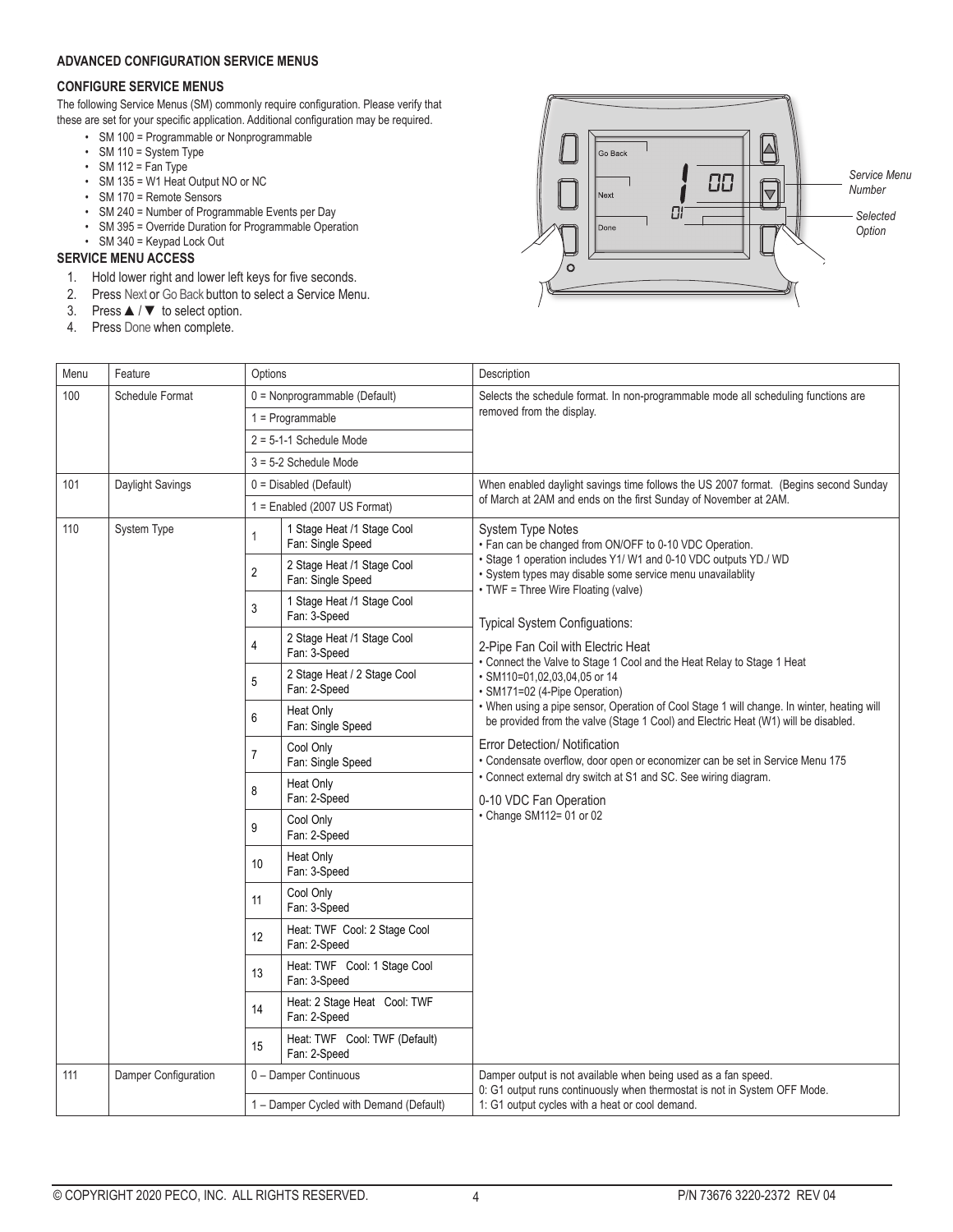#### **ADVANCED CONFIGURATION SERVICE MENUS**

#### **CONFIGURE SERVICE MENUS**

The following Service Menus (SM) commonly require configuration. Please verify that these are set for your specific application. Additional configuration may be required.

- SM 100 = Programmable or Nonprogrammable
- SM 110 = System Type
- $\cdot$  SM 112 = Fan Type
- SM 135 = W1 Heat Output NO or NC
- SM 170 = Remote Sensors
- SM 240 = Number of Programmable Events per Day
- SM 395 = Override Duration for Programmable Operation
- SM 340 = Keypad Lock Out

#### **SERVICE MENU ACCESS**

- 1. Hold lower right and lower left keys for five seconds.
- 2. Press Next or Go Back button to select a Service Menu.
- 3. Press ▲/ ▼ to select option.
- 4. Press Done when complete.



| Menu | Feature              | Options                                 |                                                 | Description                                                                                                                                                                      |  |
|------|----------------------|-----------------------------------------|-------------------------------------------------|----------------------------------------------------------------------------------------------------------------------------------------------------------------------------------|--|
| 100  | Schedule Format      |                                         | 0 = Nonprogrammable (Default)                   | Selects the schedule format. In non-programmable mode all scheduling functions are                                                                                               |  |
|      |                      |                                         | $1 = Programmable$                              | removed from the display.                                                                                                                                                        |  |
|      |                      | $2 = 5-1-1$ Schedule Mode               |                                                 |                                                                                                                                                                                  |  |
|      |                      |                                         | 3 = 5-2 Schedule Mode                           |                                                                                                                                                                                  |  |
| 101  | Daylight Savings     |                                         | $0 = Disabeled (Default)$                       | When enabled daylight savings time follows the US 2007 format. (Begins second Sunday                                                                                             |  |
|      |                      |                                         | $1 =$ Enabled (2007 US Format)                  | of March at 2AM and ends on the first Sunday of November at 2AM.                                                                                                                 |  |
| 110  | System Type          | 1                                       | 1 Stage Heat /1 Stage Cool<br>Fan: Single Speed | <b>System Type Notes</b><br>• Fan can be changed from ON/OFF to 0-10 VDC Operation.                                                                                              |  |
|      |                      | $\overline{2}$                          | 2 Stage Heat /1 Stage Cool<br>Fan: Single Speed | · Stage 1 operation includes Y1/W1 and 0-10 VDC outputs YD./ WD<br>· System types may disable some service menu unavailablity<br>• TWF = Three Wire Floating (valve)             |  |
|      |                      | 3                                       | 1 Stage Heat /1 Stage Cool<br>Fan: 3-Speed      | Typical System Configuations:                                                                                                                                                    |  |
|      |                      | 4                                       | 2 Stage Heat /1 Stage Cool<br>Fan: 3-Speed      | 2-Pipe Fan Coil with Electric Heat<br>• Connect the Valve to Stage 1 Cool and the Heat Relay to Stage 1 Heat                                                                     |  |
|      |                      | 5                                       | 2 Stage Heat / 2 Stage Cool<br>Fan: 2-Speed     | · SM110=01,02,03,04,05 or 14<br>· SM171=02 (4-Pipe Operation)                                                                                                                    |  |
|      |                      | 6                                       | <b>Heat Only</b><br>Fan: Single Speed           | . When using a pipe sensor, Operation of Cool Stage 1 will change. In winter, heating will<br>be provided from the valve (Stage 1 Cool) and Electric Heat (W1) will be disabled. |  |
|      |                      | $\overline{7}$                          | Cool Only<br>Fan: Single Speed                  | Error Detection/ Notification<br>• Condensate overflow, door open or economizer can be set in Service Menu 175                                                                   |  |
|      |                      | 8                                       | <b>Heat Only</b><br>Fan: 2-Speed                | • Connect external dry switch at S1 and SC. See wiring diagram.<br>0-10 VDC Fan Operation                                                                                        |  |
|      |                      | 9                                       | Cool Only<br>Fan: 2-Speed                       | • Change SM112= 01 or 02                                                                                                                                                         |  |
|      |                      | 10                                      | <b>Heat Only</b><br>Fan: 3-Speed                |                                                                                                                                                                                  |  |
|      |                      | 11                                      | Cool Only<br>Fan: 3-Speed                       |                                                                                                                                                                                  |  |
|      |                      | $12 \,$                                 | Heat: TWF Cool: 2 Stage Cool<br>Fan: 2-Speed    |                                                                                                                                                                                  |  |
|      |                      | 13                                      | Heat: TWF Cool: 1 Stage Cool<br>Fan: 3-Speed    |                                                                                                                                                                                  |  |
|      |                      | 14                                      | Heat: 2 Stage Heat Cool: TWF<br>Fan: 2-Speed    |                                                                                                                                                                                  |  |
|      |                      | 15                                      | Heat: TWF Cool: TWF (Default)<br>Fan: 2-Speed   |                                                                                                                                                                                  |  |
| 111  | Damper Configuration |                                         | 0 - Damper Continuous                           | Damper output is not available when being used as a fan speed.<br>0: G1 output runs continuously when thermostat is not in System OFF Mode.                                      |  |
|      |                      | 1 - Damper Cycled with Demand (Default) |                                                 | 1: G1 output cycles with a heat or cool demand.                                                                                                                                  |  |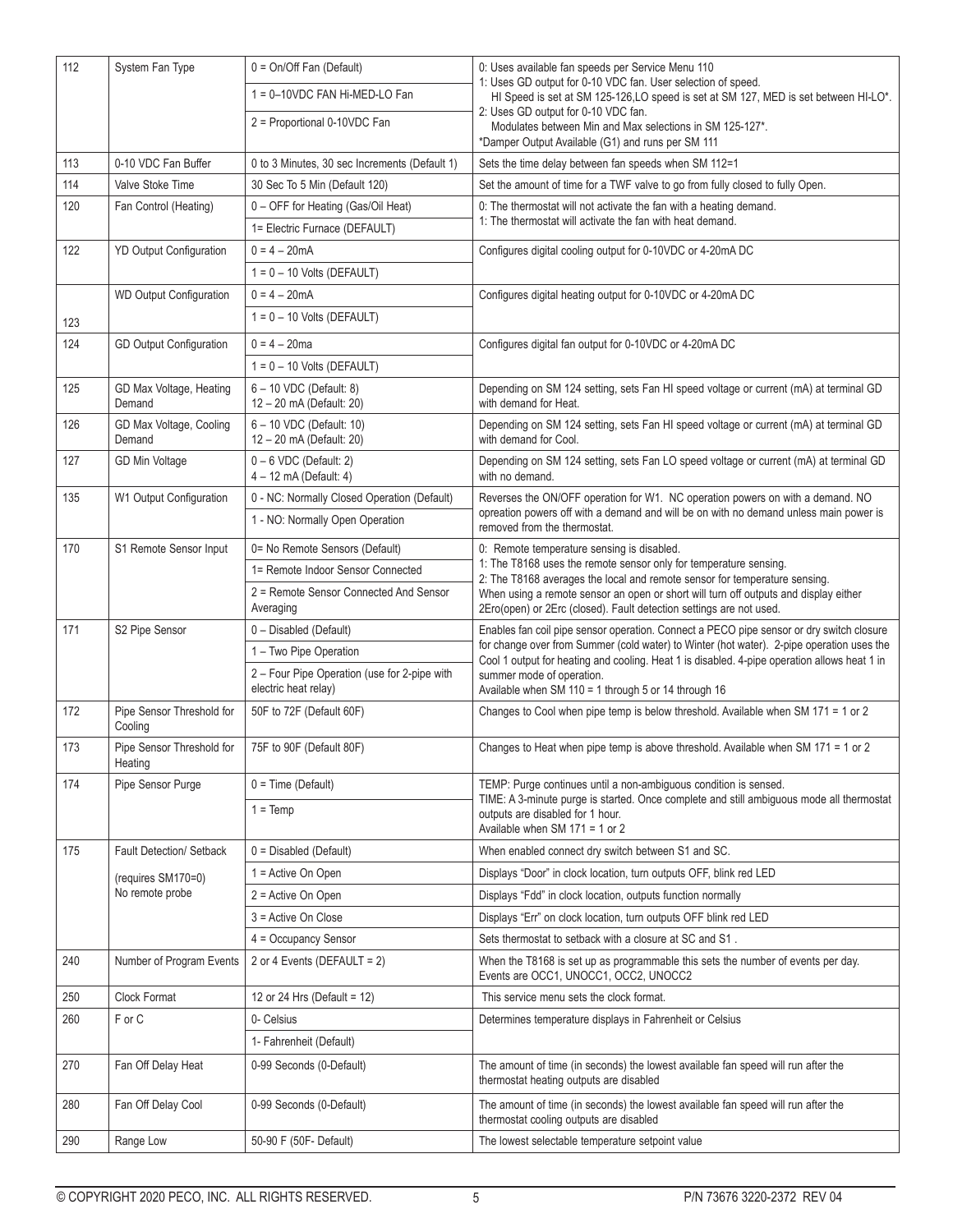| 112 | System Fan Type                      | 0 = On/Off Fan (Default)                                             | 0: Uses available fan speeds per Service Menu 110                                                                                                                                         |
|-----|--------------------------------------|----------------------------------------------------------------------|-------------------------------------------------------------------------------------------------------------------------------------------------------------------------------------------|
|     |                                      | 1 = 0-10VDC FAN Hi-MED-LO Fan                                        | 1: Uses GD output for 0-10 VDC fan. User selection of speed.<br>HI Speed is set at SM 125-126,LO speed is set at SM 127, MED is set between HI-LO*.                                       |
|     |                                      | 2 = Proportional 0-10VDC Fan                                         | 2: Uses GD output for 0-10 VDC fan.                                                                                                                                                       |
|     |                                      |                                                                      | Modulates between Min and Max selections in SM 125-127*.<br>*Damper Output Available (G1) and runs per SM 111                                                                             |
| 113 | 0-10 VDC Fan Buffer                  | 0 to 3 Minutes, 30 sec Increments (Default 1)                        | Sets the time delay between fan speeds when SM 112=1                                                                                                                                      |
| 114 | Valve Stoke Time                     | 30 Sec To 5 Min (Default 120)                                        | Set the amount of time for a TWF valve to go from fully closed to fully Open.                                                                                                             |
| 120 | Fan Control (Heating)                | 0 - OFF for Heating (Gas/Oil Heat)                                   | 0: The thermostat will not activate the fan with a heating demand.                                                                                                                        |
|     |                                      | 1= Electric Furnace (DEFAULT)                                        | 1: The thermostat will activate the fan with heat demand.                                                                                                                                 |
| 122 | <b>YD Output Configuration</b>       | $0 = 4 - 20mA$                                                       | Configures digital cooling output for 0-10VDC or 4-20mA DC                                                                                                                                |
|     |                                      | $1 = 0 - 10$ Volts (DEFAULT)                                         |                                                                                                                                                                                           |
|     | <b>WD Output Configuration</b>       | $0 = 4 - 20mA$                                                       | Configures digital heating output for 0-10VDC or 4-20mA DC                                                                                                                                |
| 123 |                                      | $1 = 0 - 10$ Volts (DEFAULT)                                         |                                                                                                                                                                                           |
| 124 | GD Output Configuration              | $0 = 4 - 20$ ma                                                      | Configures digital fan output for 0-10VDC or 4-20mA DC                                                                                                                                    |
|     |                                      | $1 = 0 - 10$ Volts (DEFAULT)                                         |                                                                                                                                                                                           |
| 125 | GD Max Voltage, Heating<br>Demand    | 6 - 10 VDC (Default: 8)<br>12 - 20 mA (Default: 20)                  | Depending on SM 124 setting, sets Fan HI speed voltage or current (mA) at terminal GD<br>with demand for Heat.                                                                            |
| 126 | GD Max Voltage, Cooling<br>Demand    | 6 - 10 VDC (Default: 10)<br>12 - 20 mA (Default: 20)                 | Depending on SM 124 setting, sets Fan HI speed voltage or current (mA) at terminal GD<br>with demand for Cool.                                                                            |
| 127 | GD Min Voltage                       | $0 - 6$ VDC (Default: 2)<br>4 - 12 mA (Default: 4)                   | Depending on SM 124 setting, sets Fan LO speed voltage or current (mA) at terminal GD<br>with no demand.                                                                                  |
| 135 | W1 Output Configuration              | 0 - NC: Normally Closed Operation (Default)                          | Reverses the ON/OFF operation for W1. NC operation powers on with a demand. NO                                                                                                            |
|     |                                      | 1 - NO: Normally Open Operation                                      | opreation powers off with a demand and will be on with no demand unless main power is<br>removed from the thermostat.                                                                     |
| 170 | S1 Remote Sensor Input               | 0= No Remote Sensors (Default)                                       | 0: Remote temperature sensing is disabled.<br>1: The T8168 uses the remote sensor only for temperature sensing.                                                                           |
|     |                                      | 1= Remote Indoor Sensor Connected                                    | 2: The T8168 averages the local and remote sensor for temperature sensing.                                                                                                                |
|     |                                      | 2 = Remote Sensor Connected And Sensor<br>Averaging                  | When using a remote sensor an open or short will turn off outputs and display either<br>2Ero(open) or 2Erc (closed). Fault detection settings are not used.                               |
| 171 | S2 Pipe Sensor                       | 0 - Disabled (Default)                                               | Enables fan coil pipe sensor operation. Connect a PECO pipe sensor or dry switch closure                                                                                                  |
|     |                                      | 1 – Two Pipe Operation                                               | for change over from Summer (cold water) to Winter (hot water). 2-pipe operation uses the<br>Cool 1 output for heating and cooling. Heat 1 is disabled. 4-pipe operation allows heat 1 in |
|     |                                      | 2 - Four Pipe Operation (use for 2-pipe with<br>electric heat relay) | summer mode of operation.<br>Available when SM 110 = 1 through 5 or 14 through 16                                                                                                         |
| 172 | Pipe Sensor Threshold for<br>Cooling | 50F to 72F (Default 60F)                                             | Changes to Cool when pipe temp is below threshold. Available when SM 171 = 1 or 2                                                                                                         |
| 173 | Pipe Sensor Threshold for<br>Heating | 75F to 90F (Default 80F)                                             | Changes to Heat when pipe temp is above threshold. Available when SM 171 = 1 or 2                                                                                                         |
| 174 | Pipe Sensor Purge                    | $0 = Time (Default)$                                                 | TEMP: Purge continues until a non-ambiguous condition is sensed.                                                                                                                          |
|     |                                      | $1 = Temp$                                                           | TIME: A 3-minute purge is started. Once complete and still ambiguous mode all thermostat<br>outputs are disabled for 1 hour.<br>Available when SM $171 = 1$ or 2                          |
| 175 | Fault Detection/ Setback             | $0 = Disabled$ (Default)                                             | When enabled connect dry switch between S1 and SC.                                                                                                                                        |
|     | (requires SM170=0)                   | 1 = Active On Open                                                   | Displays "Door" in clock location, turn outputs OFF, blink red LED                                                                                                                        |
|     | No remote probe                      | 2 = Active On Open                                                   | Displays "Fdd" in clock location, outputs function normally                                                                                                                               |
|     |                                      | 3 = Active On Close                                                  | Displays "Err" on clock location, turn outputs OFF blink red LED                                                                                                                          |
|     |                                      | 4 = Occupancy Sensor                                                 | Sets thermostat to setback with a closure at SC and S1.                                                                                                                                   |
| 240 | Number of Program Events             | 2 or 4 Events (DEFAULT = 2)                                          | When the T8168 is set up as programmable this sets the number of events per day.<br>Events are OCC1, UNOCC1, OCC2, UNOCC2                                                                 |
| 250 | Clock Format                         | 12 or 24 Hrs (Default = $12$ )                                       | This service menu sets the clock format.                                                                                                                                                  |
| 260 | F or C                               | 0- Celsius                                                           | Determines temperature displays in Fahrenheit or Celsius                                                                                                                                  |
|     |                                      | 1- Fahrenheit (Default)                                              |                                                                                                                                                                                           |
| 270 | Fan Off Delay Heat                   | 0-99 Seconds (0-Default)                                             | The amount of time (in seconds) the lowest available fan speed will run after the<br>thermostat heating outputs are disabled                                                              |
| 280 | Fan Off Delay Cool                   | 0-99 Seconds (0-Default)                                             | The amount of time (in seconds) the lowest available fan speed will run after the<br>thermostat cooling outputs are disabled                                                              |
| 290 | Range Low                            | 50-90 F (50F- Default)                                               | The lowest selectable temperature setpoint value                                                                                                                                          |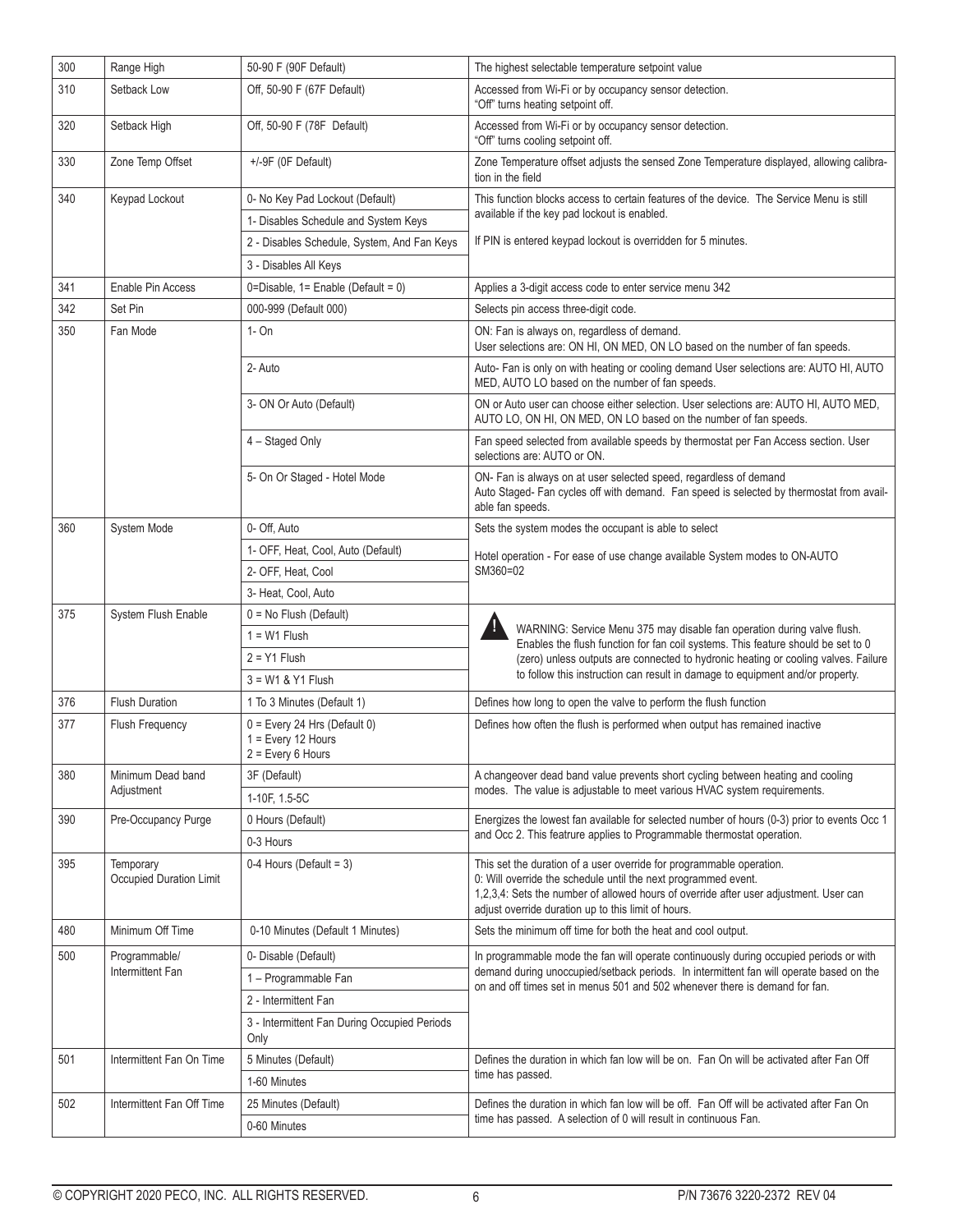| 300 | Range High                           | 50-90 F (90F Default)                                                         | The highest selectable temperature setpoint value                                                                                                                                                                                                                                      |
|-----|--------------------------------------|-------------------------------------------------------------------------------|----------------------------------------------------------------------------------------------------------------------------------------------------------------------------------------------------------------------------------------------------------------------------------------|
| 310 | Setback Low                          | Off, 50-90 F (67F Default)                                                    | Accessed from Wi-Fi or by occupancy sensor detection.<br>"Off" turns heating setpoint off.                                                                                                                                                                                             |
| 320 | Setback High                         | Off, 50-90 F (78F Default)                                                    | Accessed from Wi-Fi or by occupancy sensor detection.<br>"Off" turns cooling setpoint off.                                                                                                                                                                                             |
| 330 | Zone Temp Offset                     | +/-9F (0F Default)                                                            | Zone Temperature offset adjusts the sensed Zone Temperature displayed, allowing calibra-<br>tion in the field                                                                                                                                                                          |
| 340 | Keypad Lockout                       | 0- No Key Pad Lockout (Default)                                               | This function blocks access to certain features of the device. The Service Menu is still                                                                                                                                                                                               |
|     |                                      | 1- Disables Schedule and System Keys                                          | available if the key pad lockout is enabled.                                                                                                                                                                                                                                           |
|     |                                      | 2 - Disables Schedule, System, And Fan Keys                                   | If PIN is entered keypad lockout is overridden for 5 minutes.                                                                                                                                                                                                                          |
|     |                                      | 3 - Disables All Keys                                                         |                                                                                                                                                                                                                                                                                        |
| 341 | Enable Pin Access                    | 0=Disable, $1 =$ Enable (Default = 0)                                         | Applies a 3-digit access code to enter service menu 342                                                                                                                                                                                                                                |
| 342 | Set Pin                              | 000-999 (Default 000)                                                         | Selects pin access three-digit code.                                                                                                                                                                                                                                                   |
| 350 | Fan Mode                             | $1 - On$                                                                      | ON: Fan is always on, regardless of demand.<br>User selections are: ON HI, ON MED, ON LO based on the number of fan speeds.                                                                                                                                                            |
|     |                                      | 2- Auto                                                                       | Auto- Fan is only on with heating or cooling demand User selections are: AUTO HI, AUTO<br>MED, AUTO LO based on the number of fan speeds.                                                                                                                                              |
|     |                                      | 3- ON Or Auto (Default)                                                       | ON or Auto user can choose either selection. User selections are: AUTO HI, AUTO MED,<br>AUTO LO, ON HI, ON MED, ON LO based on the number of fan speeds.                                                                                                                               |
|     |                                      | 4 - Staged Only                                                               | Fan speed selected from available speeds by thermostat per Fan Access section. User<br>selections are: AUTO or ON.                                                                                                                                                                     |
|     |                                      | 5- On Or Staged - Hotel Mode                                                  | ON- Fan is always on at user selected speed, regardless of demand<br>Auto Staged- Fan cycles off with demand. Fan speed is selected by thermostat from avail-<br>able fan speeds.                                                                                                      |
| 360 | System Mode                          | 0- Off, Auto                                                                  | Sets the system modes the occupant is able to select                                                                                                                                                                                                                                   |
|     |                                      | 1- OFF, Heat, Cool, Auto (Default)                                            | Hotel operation - For ease of use change available System modes to ON-AUTO                                                                                                                                                                                                             |
|     |                                      | 2- OFF, Heat, Cool                                                            | SM360=02                                                                                                                                                                                                                                                                               |
|     |                                      | 3- Heat, Cool, Auto                                                           |                                                                                                                                                                                                                                                                                        |
| 375 | System Flush Enable                  | $0 = No$ Flush (Default)                                                      | $\boldsymbol{A}$                                                                                                                                                                                                                                                                       |
|     |                                      | $1 = W1$ Flush                                                                | WARNING: Service Menu 375 may disable fan operation during valve flush.<br>Enables the flush function for fan coil systems. This feature should be set to 0                                                                                                                            |
|     |                                      | $2 = Y1$ Flush                                                                | (zero) unless outputs are connected to hydronic heating or cooling valves. Failure                                                                                                                                                                                                     |
|     |                                      | $3 = W1$ & Y1 Flush                                                           | to follow this instruction can result in damage to equipment and/or property.                                                                                                                                                                                                          |
| 376 | <b>Flush Duration</b>                | 1 To 3 Minutes (Default 1)                                                    | Defines how long to open the valve to perform the flush function                                                                                                                                                                                                                       |
| 377 | Flush Frequency                      | $0 = Every 24 Hrs (Default 0)$<br>$1 = Every 12$ Hours<br>$2 = Every 6$ Hours | Defines how often the flush is performed when output has remained inactive                                                                                                                                                                                                             |
| 380 | Minimum Dead band                    | 3F (Default)                                                                  | A changeover dead band value prevents short cycling between heating and cooling                                                                                                                                                                                                        |
|     | Adjustment                           | 1-10F, 1.5-5C                                                                 | modes. The value is adjustable to meet various HVAC system requirements.                                                                                                                                                                                                               |
| 390 | Pre-Occupancy Purge                  | 0 Hours (Default)                                                             | Energizes the lowest fan available for selected number of hours (0-3) prior to events Occ 1                                                                                                                                                                                            |
|     |                                      | 0-3 Hours                                                                     | and Occ 2. This featrure applies to Programmable thermostat operation.                                                                                                                                                                                                                 |
| 395 | Temporary<br>Occupied Duration Limit | $0-4$ Hours (Default = 3)                                                     | This set the duration of a user override for programmable operation.<br>0: Will override the schedule until the next programmed event.<br>1,2,3,4: Sets the number of allowed hours of override after user adjustment. User can<br>adjust override duration up to this limit of hours. |
| 480 | Minimum Off Time                     | 0-10 Minutes (Default 1 Minutes)                                              | Sets the minimum off time for both the heat and cool output.                                                                                                                                                                                                                           |
| 500 | Programmable/                        | 0- Disable (Default)                                                          | In programmable mode the fan will operate continuously during occupied periods or with                                                                                                                                                                                                 |
|     | Intermittent Fan                     | 1 - Programmable Fan                                                          | demand during unoccupied/setback periods. In intermittent fan will operate based on the<br>on and off times set in menus 501 and 502 whenever there is demand for fan.                                                                                                                 |
|     |                                      | 2 - Intermittent Fan                                                          |                                                                                                                                                                                                                                                                                        |
|     |                                      | 3 - Intermittent Fan During Occupied Periods<br>Only                          |                                                                                                                                                                                                                                                                                        |
| 501 | Intermittent Fan On Time             | 5 Minutes (Default)                                                           | Defines the duration in which fan low will be on. Fan On will be activated after Fan Off                                                                                                                                                                                               |
|     |                                      | 1-60 Minutes                                                                  | time has passed.                                                                                                                                                                                                                                                                       |
| 502 | Intermittent Fan Off Time            | 25 Minutes (Default)                                                          | Defines the duration in which fan low will be off. Fan Off will be activated after Fan On                                                                                                                                                                                              |
|     |                                      | 0-60 Minutes                                                                  | time has passed. A selection of 0 will result in continuous Fan.                                                                                                                                                                                                                       |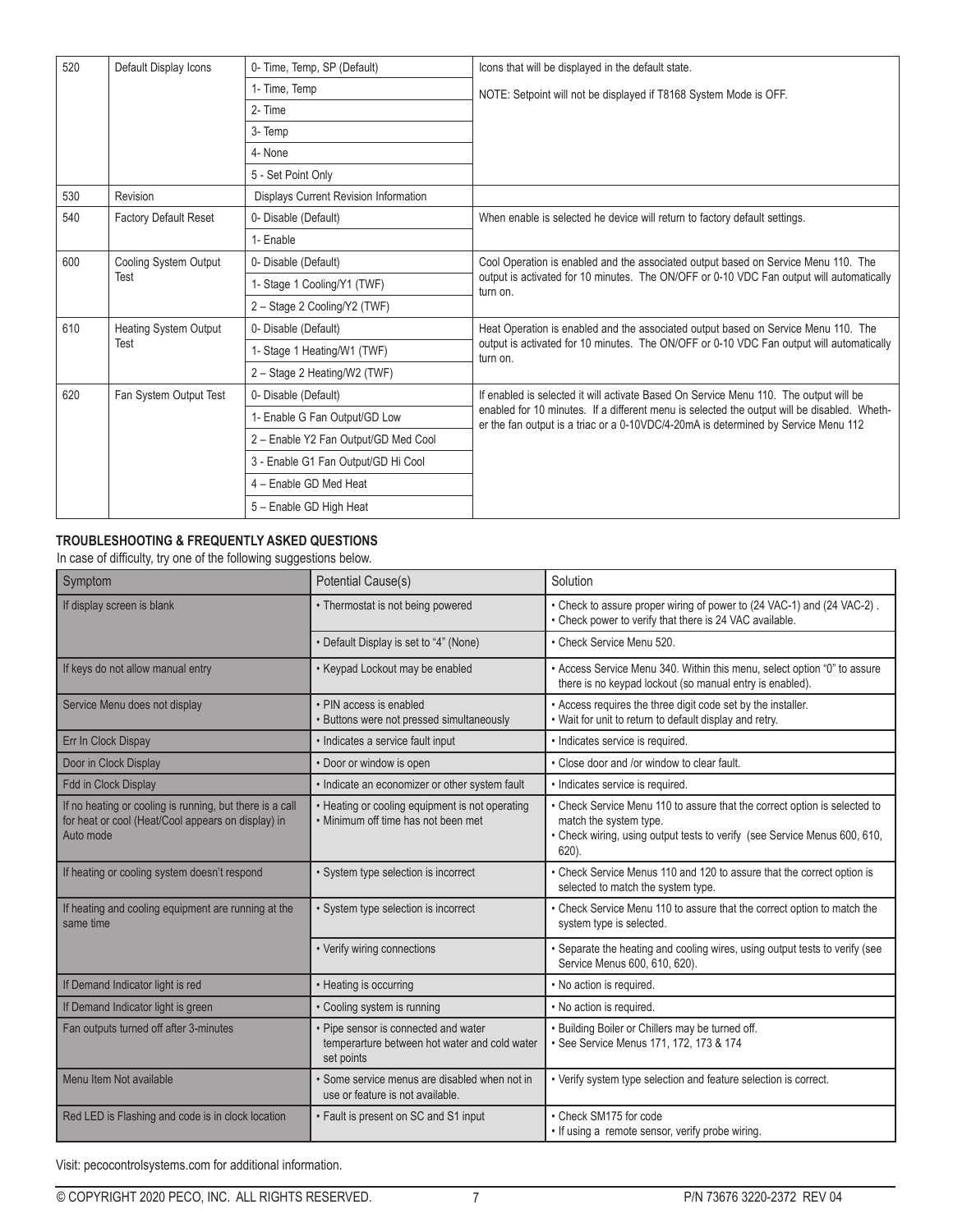| 520 | Default Display Icons        | 0- Time, Temp, SP (Default)           | Icons that will be displayed in the default state.                                                                                                                                |
|-----|------------------------------|---------------------------------------|-----------------------------------------------------------------------------------------------------------------------------------------------------------------------------------|
|     |                              | 1- Time, Temp                         | NOTE: Setpoint will not be displayed if T8168 System Mode is OFF.                                                                                                                 |
|     |                              | 2- Time                               |                                                                                                                                                                                   |
|     |                              | 3- Temp                               |                                                                                                                                                                                   |
|     |                              | 4- None                               |                                                                                                                                                                                   |
|     |                              | 5 - Set Point Only                    |                                                                                                                                                                                   |
| 530 | Revision                     | Displays Current Revision Information |                                                                                                                                                                                   |
| 540 | <b>Factory Default Reset</b> | 0- Disable (Default)                  | When enable is selected he device will return to factory default settings.                                                                                                        |
|     |                              | 1- Enable                             |                                                                                                                                                                                   |
| 600 | Cooling System Output        | 0- Disable (Default)                  | Cool Operation is enabled and the associated output based on Service Menu 110. The                                                                                                |
|     | Test                         | 1- Stage 1 Cooling/Y1 (TWF)           | output is activated for 10 minutes. The ON/OFF or 0-10 VDC Fan output will automatically<br>turn on.                                                                              |
|     |                              | 2 - Stage 2 Cooling/Y2 (TWF)          |                                                                                                                                                                                   |
| 610 | <b>Heating System Output</b> | 0- Disable (Default)                  | Heat Operation is enabled and the associated output based on Service Menu 110. The                                                                                                |
|     | Test                         | 1- Stage 1 Heating/W1 (TWF)           | output is activated for 10 minutes. The ON/OFF or 0-10 VDC Fan output will automatically<br>turn on.                                                                              |
|     |                              | 2 - Stage 2 Heating/W2 (TWF)          |                                                                                                                                                                                   |
| 620 | Fan System Output Test       | 0- Disable (Default)                  | If enabled is selected it will activate Based On Service Menu 110. The output will be                                                                                             |
|     |                              | 1- Enable G Fan Output/GD Low         | enabled for 10 minutes. If a different menu is selected the output will be disabled. Wheth-<br>er the fan output is a triac or a 0-10VDC/4-20mA is determined by Service Menu 112 |
|     |                              | 2 - Enable Y2 Fan Output/GD Med Cool  |                                                                                                                                                                                   |
|     |                              | 3 - Enable G1 Fan Output/GD Hi Cool   |                                                                                                                                                                                   |
|     |                              | 4 - Enable GD Med Heat                |                                                                                                                                                                                   |
|     |                              | 5 - Enable GD High Heat               |                                                                                                                                                                                   |

### **TROUBLESHOOTING & FREQUENTLY ASKED QUESTIONS**

#### In case of difficulty, try one of the following suggestions below.

| Symptom                                                                                                                     | Potential Cause(s)                                                                                  | Solution                                                                                                                                                                                 |
|-----------------------------------------------------------------------------------------------------------------------------|-----------------------------------------------------------------------------------------------------|------------------------------------------------------------------------------------------------------------------------------------------------------------------------------------------|
| If display screen is blank                                                                                                  | • Thermostat is not being powered                                                                   | • Check to assure proper wiring of power to (24 VAC-1) and (24 VAC-2).<br>• Check power to verify that there is 24 VAC available.                                                        |
|                                                                                                                             | • Default Display is set to "4" (None)                                                              | • Check Service Menu 520.                                                                                                                                                                |
| If keys do not allow manual entry                                                                                           | • Keypad Lockout may be enabled                                                                     | • Access Service Menu 340. Within this menu, select option "0" to assure<br>there is no keypad lockout (so manual entry is enabled).                                                     |
| Service Menu does not display                                                                                               | • PIN access is enabled<br>• Buttons were not pressed simultaneously                                | • Access requires the three digit code set by the installer.<br>. Wait for unit to return to default display and retry.                                                                  |
| Err In Clock Dispay                                                                                                         | • Indicates a service fault input                                                                   | · Indicates service is required.                                                                                                                                                         |
| Door in Clock Display                                                                                                       | • Door or window is open                                                                            | • Close door and /or window to clear fault.                                                                                                                                              |
| <b>Fdd in Clock Display</b>                                                                                                 | • Indicate an economizer or other system fault                                                      | · Indicates service is required.                                                                                                                                                         |
| If no heating or cooling is running, but there is a call<br>for heat or cool (Heat/Cool appears on display) in<br>Auto mode | • Heating or cooling equipment is not operating<br>. Minimum off time has not been met              | Check Service Menu 110 to assure that the correct option is selected to<br>match the system type.<br>Check wiring, using output tests to verify (see Service Menus 600, 610,<br>$620$ ). |
| If heating or cooling system doesn't respond                                                                                | • System type selection is incorrect                                                                | • Check Service Menus 110 and 120 to assure that the correct option is<br>selected to match the system type.                                                                             |
| If heating and cooling equipment are running at the<br>same time                                                            | · System type selection is incorrect                                                                | • Check Service Menu 110 to assure that the correct option to match the<br>system type is selected.                                                                                      |
|                                                                                                                             | • Verify wiring connections                                                                         | Separate the heating and cooling wires, using output tests to verify (see<br>Service Menus 600, 610, 620).                                                                               |
| If Demand Indicator light is red                                                                                            | • Heating is occurring                                                                              | • No action is required.                                                                                                                                                                 |
| If Demand Indicator light is green                                                                                          | • Cooling system is running                                                                         | • No action is required.                                                                                                                                                                 |
| Fan outputs turned off after 3-minutes                                                                                      | • Pipe sensor is connected and water<br>temperarture between hot water and cold water<br>set points | Building Boiler or Chillers may be turned off.<br>• See Service Menus 171, 172, 173 & 174                                                                                                |
| Menu Item Not available                                                                                                     | • Some service menus are disabled when not in<br>use or feature is not available.                   | • Verify system type selection and feature selection is correct.                                                                                                                         |
| Red LED is Flashing and code is in clock location                                                                           | • Fault is present on SC and S1 input                                                               | • Check SM175 for code<br>• If using a remote sensor, verify probe wiring.                                                                                                               |

Visit: pecocontrolsystems.com for additional information.